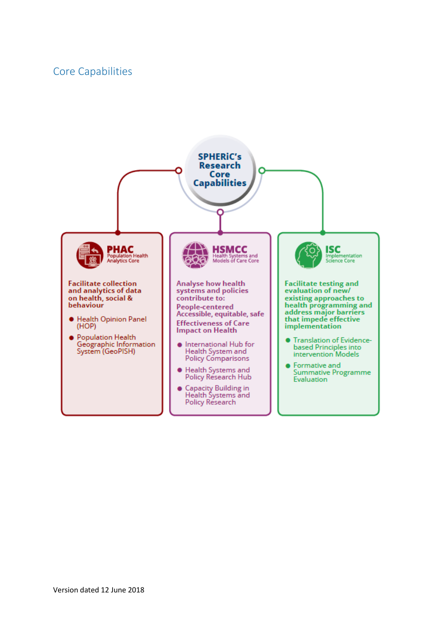# Core Capabilities

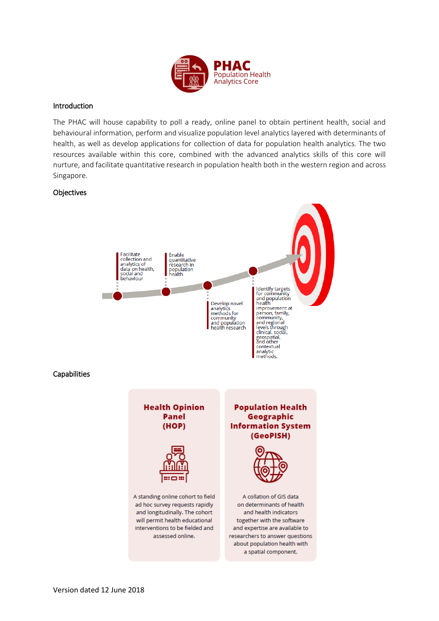

# Introduction

The PHAC will house capability to poll a ready, online panel to obtain pertinent health, social and behavioural information, perform and visualize population level analytics layered with determinants of health, as well as develop applications for collection of data for population health analytics. The two resources available within this core, combined with the advanced analytics skills of this core will nurture, and facilitate quantitative research in population health both in the western region and across Singapore.

# **Objectives**

**Capabilities** 

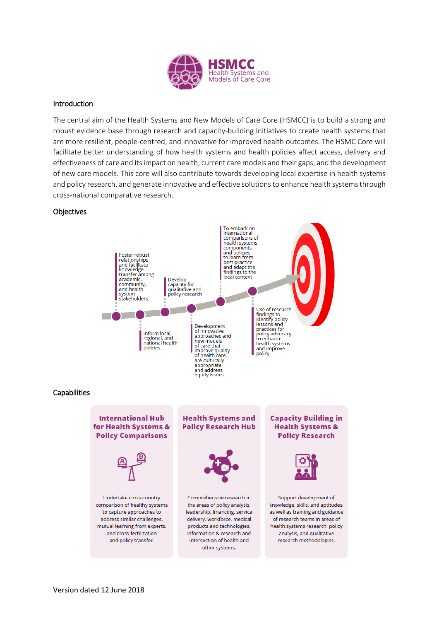

## Introduction

The central aim of the Health Systems and New Models of Care Core (HSMCC) is to build a strong and robust evidence base through research and capacity-building initiatives to create health systems that are more resilient, people-centred, and innovative for improved health outcomes. The HSMC Core will facilitate better understanding of how health systems and health policies affect access, delivery and effectiveness of care and its impact on health, current care models and their gaps, and the development of new care models. This core will also contribute towards developing local expertise in health systems and policy research, and generate innovative and effective solutions to enhance health systems through cross-national comparative research.

### **Objectives**